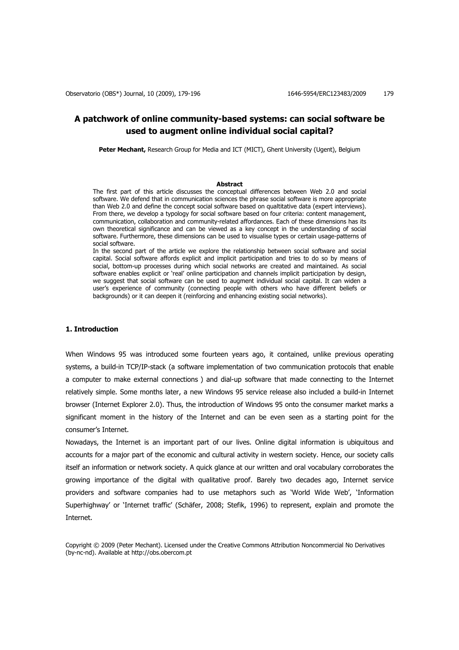# **A patchwork of online community-based systems: can social software be used to augment online individual social capital?**

Peter Mechant, Research Group for Media and ICT (MICT), Ghent University (Ugent), Belgium

### **Abstract**

The first part of this article discusses the conceptual differences between Web 2.0 and social software. We defend that in communication sciences the phrase social software is more appropriate than Web 2.0 and define the concept social software based on qualtitative data (expert interviews). From there, we develop a typology for social software based on four criteria: content management, communication, collaboration and community-related affordances. Each of these dimensions has its own theoretical significance and can be viewed as a key concept in the understanding of social software. Furthermore, these dimensions can be used to visualise types or certain usage-patterns of social software.

In the second part of the article we explore the relationship between social software and social capital. Social software affords explicit and implicit participation and tries to do so by means of social, bottom-up processes during which social networks are created and maintained. As social software enables explicit or 'real' online participation and channels implicit participation by design, we suggest that social software can be used to augment individual social capital. It can widen a user's experience of community (connecting people with others who have different beliefs or backgrounds) or it can deepen it (reinforcing and enhancing existing social networks).

### **1. Introduction**

When Windows 95 was introduced some fourteen years ago, it contained, unlike previous operating systems, a build-in TCP/IP-stack (a software implementation of two communication protocols that enable a computer to make external connections ) and dial-up software that made connecting to the Internet relatively simple. Some months later, a new Windows 95 service release also included a build-in Internet browser (Internet Explorer 2.0). Thus, the introduction of Windows 95 onto the consumer market marks a significant moment in the history of the Internet and can be even seen as a starting point for the consumer's Internet.

Nowadays, the Internet is an important part of our lives. Online digital information is ubiquitous and accounts for a major part of the economic and cultural activity in western society. Hence, our society calls itself an information or network society. A quick glance at our written and oral vocabulary corroborates the growing importance of the digital with qualitative proof. Barely two decades ago, Internet service providers and software companies had to use metaphors such as 'World Wide Web', 'Information Superhighway' or 'Internet traffic' (Schäfer, 2008; Stefik, 1996) to represent, explain and promote the Internet.

Copyright © 2009 (Peter Mechant). Licensed under the Creative Commons Attribution Noncommercial No Derivatives (by-nc-nd). Available at http://obs.obercom.pt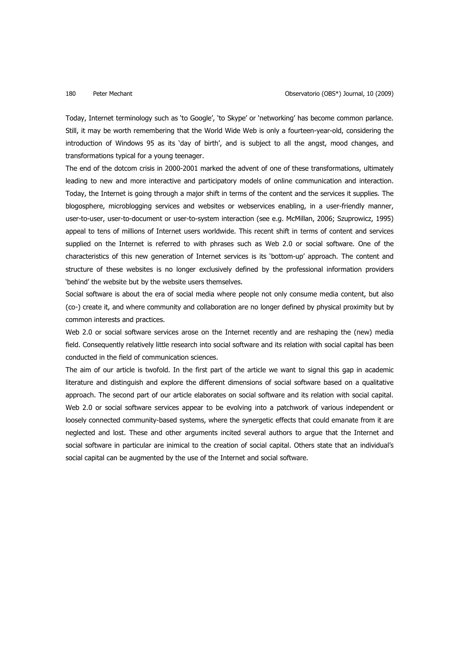Today, Internet terminology such as 'to Google', 'to Skype' or 'networking' has become common parlance. Still, it may be worth remembering that the World Wide Web is only a fourteen-year-old, considering the introduction of Windows 95 as its 'day of birth', and is subject to all the angst, mood changes, and transformations typical for a young teenager.

The end of the dotcom crisis in 2000-2001 marked the advent of one of these transformations, ultimately leading to new and more interactive and participatory models of online communication and interaction. Today, the Internet is going through a major shift in terms of the content and the services it supplies. The blogosphere, microblogging services and websites or webservices enabling, in a user-friendly manner, user-to-user, user-to-document or user-to-system interaction (see e.g. McMillan, 2006; Szuprowicz, 1995) appeal to tens of millions of Internet users worldwide. This recent shift in terms of content and services supplied on the Internet is referred to with phrases such as Web 2.0 or social software. One of the characteristics of this new generation of Internet services is its 'bottom-up' approach. The content and structure of these websites is no longer exclusively defined by the professional information providers 'behind' the website but by the website users themselves.

Social software is about the era of social media where people not only consume media content, but also (co-) create it, and where community and collaboration are no longer defined by physical proximity but by common interests and practices.

Web 2.0 or social software services arose on the Internet recently and are reshaping the (new) media field. Consequently relatively little research into social software and its relation with social capital has been conducted in the field of communication sciences.

The aim of our article is twofold. In the first part of the article we want to signal this gap in academic literature and distinguish and explore the different dimensions of social software based on a qualitative approach. The second part of our article elaborates on social software and its relation with social capital. Web 2.0 or social software services appear to be evolving into a patchwork of various independent or loosely connected community-based systems, where the synergetic effects that could emanate from it are neglected and lost. These and other arguments incited several authors to argue that the Internet and social software in particular are inimical to the creation of social capital. Others state that an individual's social capital can be augmented by the use of the Internet and social software.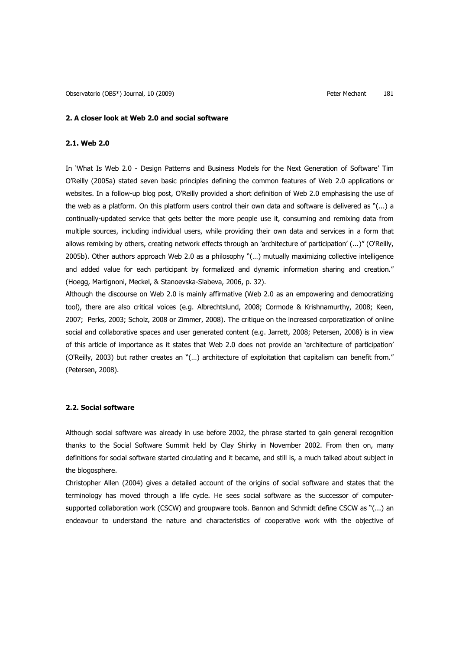### **2. A closer look at Web 2.0 and social software**

# **2.1. Web 2.0**

In 'What Is Web 2.0 - Design Patterns and Business Models for the Next Generation of Software' Tim O'Reilly (2005a) stated seven basic principles defining the common features of Web 2.0 applications or websites. In a follow-up blog post, O'Reilly provided a short definition of Web 2.0 emphasising the use of the web as a platform. On this platform users control their own data and software is delivered as "(...) a continually-updated service that gets better the more people use it, consuming and remixing data from multiple sources, including individual users, while providing their own data and services in a form that allows remixing by others, creating network effects through an 'architecture of participation' (...)" (O'Reilly, 2005b). Other authors approach Web 2.0 as a philosophy "(…) mutually maximizing collective intelligence and added value for each participant by formalized and dynamic information sharing and creation." (Hoegg, Martignoni, Meckel, & Stanoevska-Slabeva, 2006, p. 32).

Although the discourse on Web 2.0 is mainly affirmative (Web 2.0 as an empowering and democratizing tool), there are also critical voices (e.g. Albrechtslund, 2008; Cormode & Krishnamurthy, 2008; Keen, 2007; Perks, 2003; Scholz, 2008 or Zimmer, 2008). The critique on the increased corporatization of online social and collaborative spaces and user generated content (e.g. Jarrett, 2008; Petersen, 2008) is in view of this article of importance as it states that Web 2.0 does not provide an 'architecture of participation' (O'Reilly, 2003) but rather creates an "(…) architecture of exploitation that capitalism can benefit from." (Petersen, 2008).

# **2.2. Social software**

Although social software was already in use before 2002, the phrase started to gain general recognition thanks to the Social Software Summit held by Clay Shirky in November 2002. From then on, many definitions for social software started circulating and it became, and still is, a much talked about subject in the blogosphere.

Christopher Allen (2004) gives a detailed account of the origins of social software and states that the terminology has moved through a life cycle. He sees social software as the successor of computersupported collaboration work (CSCW) and groupware tools. Bannon and Schmidt define CSCW as "(...) an endeavour to understand the nature and characteristics of cooperative work with the objective of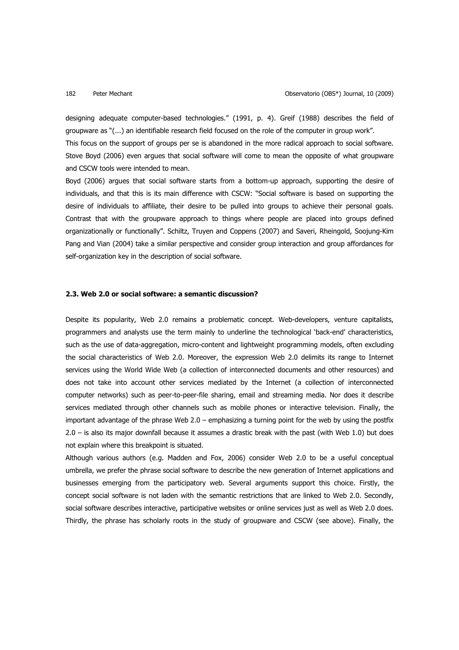designing adequate computer-based technologies." (1991, p. 4). Greif (1988) describes the field of groupware as "(...) an identifiable research field focused on the role of the computer in group work".

This focus on the support of groups per se is abandoned in the more radical approach to social software. Stove Boyd (2006) even argues that social software will come to mean the opposite of what groupware and CSCW tools were intended to mean.

Boyd (2006) argues that social software starts from a bottom-up approach, supporting the desire of individuals, and that this is its main difference with CSCW: "Social software is based on supporting the desire of individuals to affiliate, their desire to be pulled into groups to achieve their personal goals. Contrast that with the groupware approach to things where people are placed into groups defined organizationally or functionally". Schiltz, Truyen and Coppens (2007) and Saveri, Rheingold, Soojung-Kim Pang and Vian (2004) take a similar perspective and consider group interaction and group affordances for self-organization key in the description of social software.

# **2.3. Web 2.0 or social software: a semantic discussion?**

Despite its popularity, Web 2.0 remains a problematic concept. Web-developers, venture capitalists, programmers and analysts use the term mainly to underline the technological 'back-end' characteristics, such as the use of data-aggregation, micro-content and lightweight programming models, often excluding the social characteristics of Web 2.0. Moreover, the expression Web 2.0 delimits its range to Internet services using the World Wide Web (a collection of interconnected documents and other resources) and does not take into account other services mediated by the Internet (a collection of interconnected computer networks) such as peer-to-peer-file sharing, email and streaming media. Nor does it describe services mediated through other channels such as mobile phones or interactive television. Finally, the important advantage of the phrase Web 2.0 – emphasizing a turning point for the web by using the postfix 2.0 – is also its major downfall because it assumes a drastic break with the past (with Web 1.0) but does not explain where this breakpoint is situated.

Although various authors (e.g. Madden and Fox, 2006) consider Web 2.0 to be a useful conceptual umbrella, we prefer the phrase social software to describe the new generation of Internet applications and businesses emerging from the participatory web. Several arguments support this choice. Firstly, the concept social software is not laden with the semantic restrictions that are linked to Web 2.0. Secondly, social software describes interactive, participative websites or online services just as well as Web 2.0 does. Thirdly, the phrase has scholarly roots in the study of groupware and CSCW (see above). Finally, the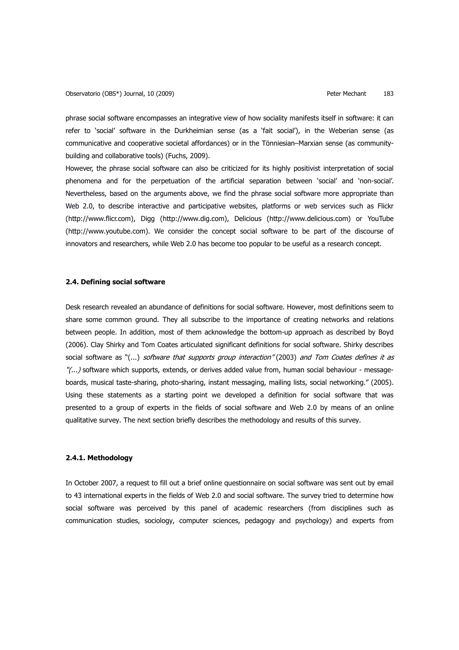phrase social software encompasses an integrative view of how sociality manifests itself in software: it can refer to 'social' software in the Durkheimian sense (as a 'fait social'), in the Weberian sense (as communicative and cooperative societal affordances) or in the Tönniesian–Marxian sense (as communitybuilding and collaborative tools) (Fuchs, 2009).

However, the phrase social software can also be criticized for its highly positivist interpretation of social phenomena and for the perpetuation of the artificial separation between 'social' and 'non-social'. Nevertheless, based on the arguments above, we find the phrase social software more appropriate than Web 2.0, to describe interactive and participative websites, platforms or web services such as Flickr (http://www.flicr.com), Digg (http://www.dig.com), Delicious (http://www.delicious.com) or YouTube (http://www.youtube.com). We consider the concept social software to be part of the discourse of innovators and researchers, while Web 2.0 has become too popular to be useful as a research concept.

# **2.4. Defining social software**

Desk research revealed an abundance of definitions for social software. However, most definitions seem to share some common ground. They all subscribe to the importance of creating networks and relations between people. In addition, most of them acknowledge the bottom-up approach as described by Boyd (2006). Clay Shirky and Tom Coates articulated significant definitions for social software. Shirky describes social software as "(...) software that supports group interaction" (2003) and Tom Coates defines it as "(...) software which supports, extends, or derives added value from, human social behaviour - messageboards, musical taste-sharing, photo-sharing, instant messaging, mailing lists, social networking." (2005). Using these statements as a starting point we developed a definition for social software that was presented to a group of experts in the fields of social software and Web 2.0 by means of an online qualitative survey. The next section briefly describes the methodology and results of this survey.

# **2.4.1. Methodology**

In October 2007, a request to fill out a brief online questionnaire on social software was sent out by email to 43 international experts in the fields of Web 2.0 and social software. The survey tried to determine how social software was perceived by this panel of academic researchers (from disciplines such as communication studies, sociology, computer sciences, pedagogy and psychology) and experts from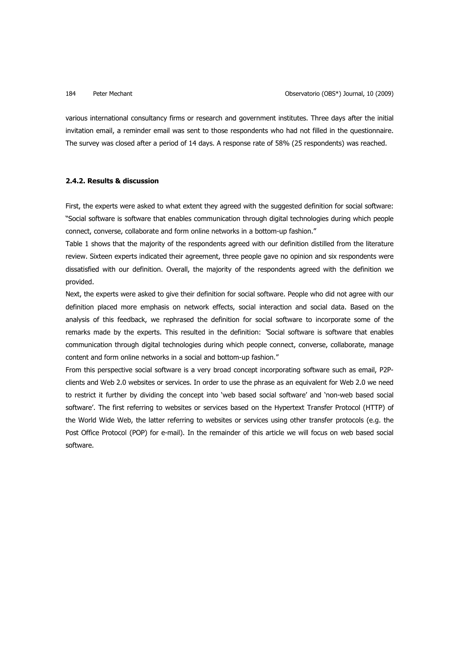various international consultancy firms or research and government institutes. Three days after the initial invitation email, a reminder email was sent to those respondents who had not filled in the questionnaire. The survey was closed after a period of 14 days. A response rate of 58% (25 respondents) was reached.

# **2.4.2. Results & discussion**

First, the experts were asked to what extent they agreed with the suggested definition for social software: "Social software is software that enables communication through digital technologies during which people connect, converse, collaborate and form online networks in a bottom-up fashion."

Table 1 shows that the majority of the respondents agreed with our definition distilled from the literature review. Sixteen experts indicated their agreement, three people gave no opinion and six respondents were dissatisfied with our definition. Overall, the majority of the respondents agreed with the definition we provided.

Next, the experts were asked to give their definition for social software. People who did not agree with our definition placed more emphasis on network effects, social interaction and social data. Based on the analysis of this feedback, we rephrased the definition for social software to incorporate some of the remarks made by the experts. This resulted in the definition: "Social software is software that enables communication through digital technologies during which people connect, converse, collaborate, manage content and form online networks in a social and bottom-up fashion."

From this perspective social software is a very broad concept incorporating software such as email, P2Pclients and Web 2.0 websites or services. In order to use the phrase as an equivalent for Web 2.0 we need to restrict it further by dividing the concept into 'web based social software' and 'non-web based social software'. The first referring to websites or services based on the Hypertext Transfer Protocol (HTTP) of the World Wide Web, the latter referring to websites or services using other transfer protocols (e.g. the Post Office Protocol (POP) for e-mail). In the remainder of this article we will focus on web based social software.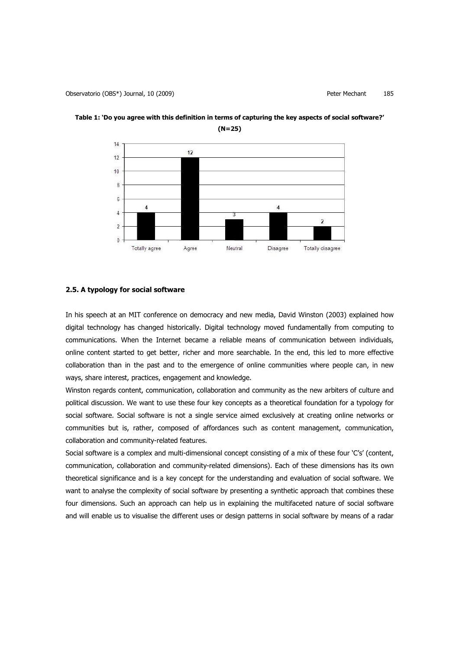

**Table 1: 'Do you agree with this definition in terms of capturing the key aspects of social software?' (N=25)**

# **2.5. A typology for social software**

In his speech at an MIT conference on democracy and new media, David Winston (2003) explained how digital technology has changed historically. Digital technology moved fundamentally from computing to communications. When the Internet became a reliable means of communication between individuals, online content started to get better, richer and more searchable. In the end, this led to more effective collaboration than in the past and to the emergence of online communities where people can, in new ways, share interest, practices, engagement and knowledge.

Winston regards content, communication, collaboration and community as the new arbiters of culture and political discussion. We want to use these four key concepts as a theoretical foundation for a typology for social software. Social software is not a single service aimed exclusively at creating online networks or communities but is, rather, composed of affordances such as content management, communication, collaboration and community-related features.

Social software is a complex and multi-dimensional concept consisting of a mix of these four 'C's' (content, communication, collaboration and community-related dimensions). Each of these dimensions has its own theoretical significance and is a key concept for the understanding and evaluation of social software. We want to analyse the complexity of social software by presenting a synthetic approach that combines these four dimensions. Such an approach can help us in explaining the multifaceted nature of social software and will enable us to visualise the different uses or design patterns in social software by means of a radar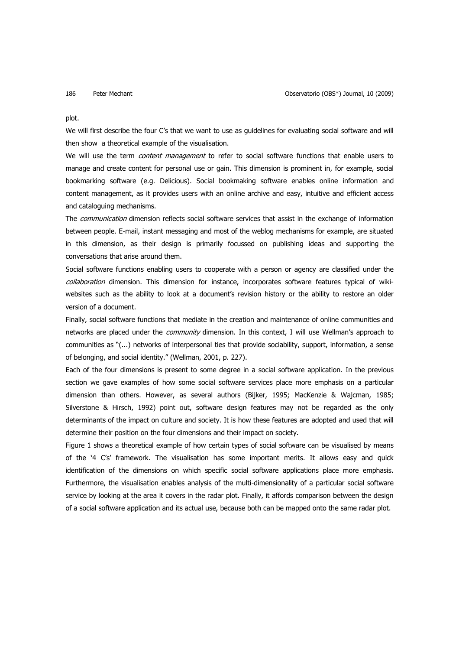### plot.

We will first describe the four C's that we want to use as guidelines for evaluating social software and will then show a theoretical example of the visualisation.

We will use the term *content management* to refer to social software functions that enable users to manage and create content for personal use or gain. This dimension is prominent in, for example, social bookmarking software (e.g. Delicious). Social bookmaking software enables online information and content management, as it provides users with an online archive and easy, intuitive and efficient access and cataloguing mechanisms.

The *communication* dimension reflects social software services that assist in the exchange of information between people. E-mail, instant messaging and most of the weblog mechanisms for example, are situated in this dimension, as their design is primarily focussed on publishing ideas and supporting the conversations that arise around them.

Social software functions enabling users to cooperate with a person or agency are classified under the collaboration dimension. This dimension for instance, incorporates software features typical of wikiwebsites such as the ability to look at a document's revision history or the ability to restore an older version of a document.

Finally, social software functions that mediate in the creation and maintenance of online communities and networks are placed under the *community* dimension. In this context, I will use Wellman's approach to communities as "(...) networks of interpersonal ties that provide sociability, support, information, a sense of belonging, and social identity." (Wellman, 2001, p. 227).

Each of the four dimensions is present to some degree in a social software application. In the previous section we gave examples of how some social software services place more emphasis on a particular dimension than others. However, as several authors (Bijker, 1995; MacKenzie & Wajcman, 1985; Silverstone & Hirsch, 1992) point out, software design features may not be regarded as the only determinants of the impact on culture and society. It is how these features are adopted and used that will determine their position on the four dimensions and their impact on society.

Figure 1 shows a theoretical example of how certain types of social software can be visualised by means of the '4 C's' framework. The visualisation has some important merits. It allows easy and quick identification of the dimensions on which specific social software applications place more emphasis. Furthermore, the visualisation enables analysis of the multi-dimensionality of a particular social software service by looking at the area it covers in the radar plot. Finally, it affords comparison between the design of a social software application and its actual use, because both can be mapped onto the same radar plot.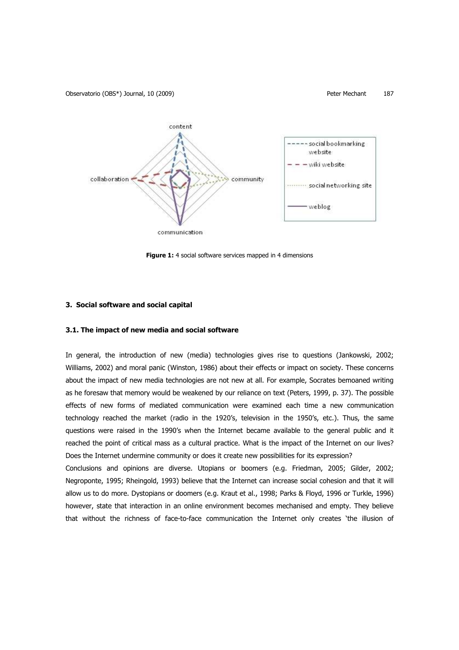Observatorio (OBS\*) Journal, 10 (2009) Peter Mechant 187



**Figure 1:** 4 social software services mapped in 4 dimensions

# **3. Social software and social capital**

# **3.1. The impact of new media and social software**

In general, the introduction of new (media) technologies gives rise to questions (Jankowski, 2002; Williams, 2002) and moral panic (Winston, 1986) about their effects or impact on society. These concerns about the impact of new media technologies are not new at all. For example, Socrates bemoaned writing as he foresaw that memory would be weakened by our reliance on text (Peters, 1999, p. 37). The possible effects of new forms of mediated communication were examined each time a new communication technology reached the market (radio in the 1920's, television in the 1950's, etc.). Thus, the same questions were raised in the 1990's when the Internet became available to the general public and it reached the point of critical mass as a cultural practice. What is the impact of the Internet on our lives? Does the Internet undermine community or does it create new possibilities for its expression?

Conclusions and opinions are diverse. Utopians or boomers (e.g. Friedman, 2005; Gilder, 2002; Negroponte, 1995; Rheingold, 1993) believe that the Internet can increase social cohesion and that it will allow us to do more. Dystopians or doomers (e.g. Kraut et al., 1998; Parks & Floyd, 1996 or Turkle, 1996) however, state that interaction in an online environment becomes mechanised and empty. They believe that without the richness of face-to-face communication the Internet only creates 'the illusion of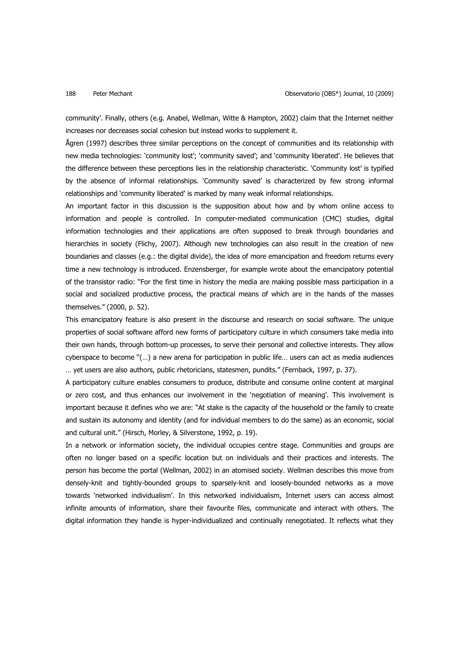community'. Finally, others (e.g. Anabel, Wellman, Witte & Hampton, 2002) claim that the Internet neither increases nor decreases social cohesion but instead works to supplement it.

Ågren (1997) describes three similar perceptions on the concept of communities and its relationship with new media technologies: 'community lost'; 'community saved'; and 'community liberated'. He believes that the difference between these perceptions lies in the relationship characteristic. 'Community lost' is typified by the absence of informal relationships. 'Community saved' is characterized by few strong informal relationships and 'community liberated' is marked by many weak informal relationships.

An important factor in this discussion is the supposition about how and by whom online access to information and people is controlled. In computer-mediated communication (CMC) studies, digital information technologies and their applications are often supposed to break through boundaries and hierarchies in society (Flichy, 2007). Although new technologies can also result in the creation of new boundaries and classes (e.g.: the digital divide), the idea of more emancipation and freedom returns every time a new technology is introduced. Enzensberger, for example wrote about the emancipatory potential of the transistor radio: "For the first time in history the media are making possible mass participation in a social and socialized productive process, the practical means of which are in the hands of the masses themselves." (2000, p. 52).

This emancipatory feature is also present in the discourse and research on social software. The unique properties of social software afford new forms of participatory culture in which consumers take media into their own hands, through bottom-up processes, to serve their personal and collective interests. They allow cyberspace to become "(…) a new arena for participation in public life… users can act as media audiences … yet users are also authors, public rhetoricians, statesmen, pundits." (Fernback, 1997, p. 37).

A participatory culture enables consumers to produce, distribute and consume online content at marginal or zero cost, and thus enhances our involvement in the 'negotiation of meaning'. This involvement is important because it defines who we are: "At stake is the capacity of the household or the family to create and sustain its autonomy and identity (and for individual members to do the same) as an economic, social and cultural unit." (Hirsch, Morley, & Silverstone, 1992, p. 19).

In a network or information society, the individual occupies centre stage. Communities and groups are often no longer based on a specific location but on individuals and their practices and interests. The person has become the portal (Wellman, 2002) in an atomised society. Wellman describes this move from densely-knit and tightly-bounded groups to sparsely-knit and loosely-bounded networks as a move towards 'networked individualism'. In this networked individualism, Internet users can access almost infinite amounts of information, share their favourite files, communicate and interact with others. The digital information they handle is hyper-individualized and continually renegotiated. It reflects what they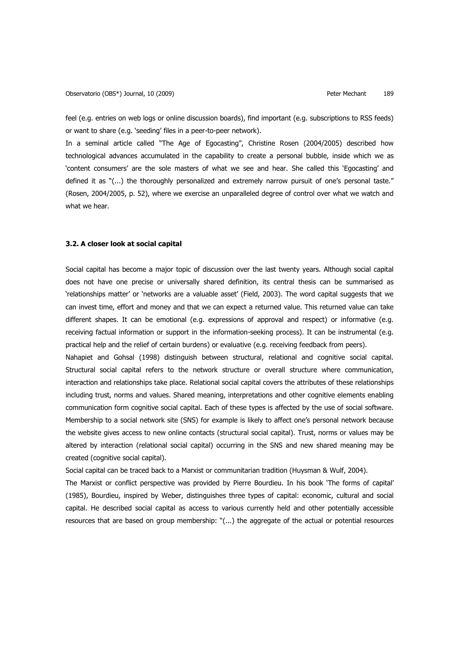feel (e.g. entries on web logs or online discussion boards), find important (e.g. subscriptions to RSS feeds) or want to share (e.g. 'seeding' files in a peer-to-peer network).

In a seminal article called "The Age of Egocasting", Christine Rosen (2004/2005) described how technological advances accumulated in the capability to create a personal bubble, inside which we as 'content consumers' are the sole masters of what we see and hear. She called this 'Egocasting' and defined it as "(...) the thoroughly personalized and extremely narrow pursuit of one's personal taste." (Rosen, 2004/2005, p. 52), where we exercise an unparalleled degree of control over what we watch and what we hear.

### **3.2. A closer look at social capital**

Social capital has become a major topic of discussion over the last twenty years. Although social capital does not have one precise or universally shared definition, its central thesis can be summarised as 'relationships matter' or 'networks are a valuable asset' (Field, 2003). The word capital suggests that we can invest time, effort and money and that we can expect a returned value. This returned value can take different shapes. It can be emotional (e.g. expressions of approval and respect) or informative (e.g. receiving factual information or support in the information-seeking process). It can be instrumental (e.g. practical help and the relief of certain burdens) or evaluative (e.g. receiving feedback from peers).

Nahapiet and Gohsal (1998) distinguish between structural, relational and cognitive social capital. Structural social capital refers to the network structure or overall structure where communication, interaction and relationships take place. Relational social capital covers the attributes of these relationships including trust, norms and values. Shared meaning, interpretations and other cognitive elements enabling communication form cognitive social capital. Each of these types is affected by the use of social software. Membership to a social network site (SNS) for example is likely to affect one's personal network because the website gives access to new online contacts (structural social capital). Trust, norms or values may be altered by interaction (relational social capital) occurring in the SNS and new shared meaning may be created (cognitive social capital).

Social capital can be traced back to a Marxist or communitarian tradition (Huysman & Wulf, 2004).

The Marxist or conflict perspective was provided by Pierre Bourdieu. In his book 'The forms of capital' (1985), Bourdieu, inspired by Weber, distinguishes three types of capital: economic, cultural and social capital. He described social capital as access to various currently held and other potentially accessible resources that are based on group membership: "(...) the aggregate of the actual or potential resources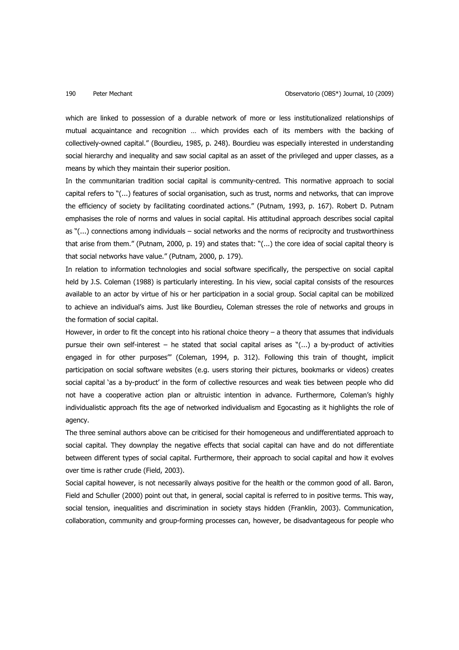which are linked to possession of a durable network of more or less institutionalized relationships of mutual acquaintance and recognition … which provides each of its members with the backing of collectively-owned capital." (Bourdieu, 1985, p. 248). Bourdieu was especially interested in understanding social hierarchy and inequality and saw social capital as an asset of the privileged and upper classes, as a means by which they maintain their superior position.

In the communitarian tradition social capital is community-centred. This normative approach to social capital refers to "(...) features of social organisation, such as trust, norms and networks, that can improve the efficiency of society by facilitating coordinated actions." (Putnam, 1993, p. 167). Robert D. Putnam emphasises the role of norms and values in social capital. His attitudinal approach describes social capital as "(...) connections among individuals – social networks and the norms of reciprocity and trustworthiness that arise from them." (Putnam, 2000, p. 19) and states that: "(...) the core idea of social capital theory is that social networks have value." (Putnam, 2000, p. 179).

In relation to information technologies and social software specifically, the perspective on social capital held by J.S. Coleman (1988) is particularly interesting. In his view, social capital consists of the resources available to an actor by virtue of his or her participation in a social group. Social capital can be mobilized to achieve an individual's aims. Just like Bourdieu, Coleman stresses the role of networks and groups in the formation of social capital.

However, in order to fit the concept into his rational choice theory – a theory that assumes that individuals pursue their own self-interest – he stated that social capital arises as "(...) a by-product of activities engaged in for other purposes'" (Coleman, 1994, p. 312). Following this train of thought, implicit participation on social software websites (e.g. users storing their pictures, bookmarks or videos) creates social capital 'as a by-product' in the form of collective resources and weak ties between people who did not have a cooperative action plan or altruistic intention in advance. Furthermore, Coleman's highly individualistic approach fits the age of networked individualism and Egocasting as it highlights the role of agency.

The three seminal authors above can be criticised for their homogeneous and undifferentiated approach to social capital. They downplay the negative effects that social capital can have and do not differentiate between different types of social capital. Furthermore, their approach to social capital and how it evolves over time is rather crude (Field, 2003).

Social capital however, is not necessarily always positive for the health or the common good of all. Baron, Field and Schuller (2000) point out that, in general, social capital is referred to in positive terms. This way, social tension, inequalities and discrimination in society stays hidden (Franklin, 2003). Communication, collaboration, community and group-forming processes can, however, be disadvantageous for people who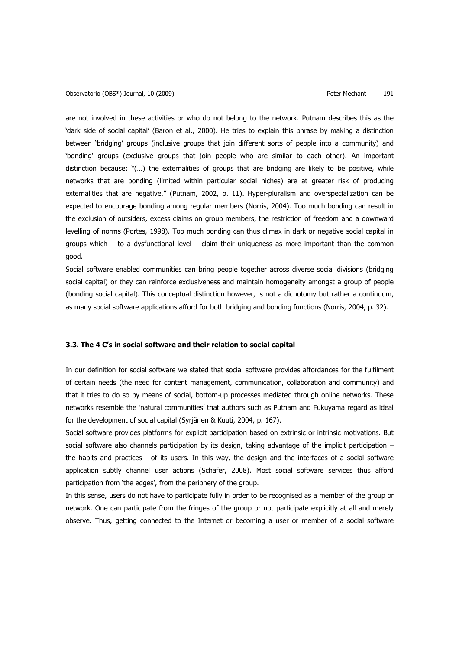Observatorio (OBS\*) Journal, 10 (2009) Contract Contract Contract Peter Mechant 191

are not involved in these activities or who do not belong to the network. Putnam describes this as the 'dark side of social capital' (Baron et al., 2000). He tries to explain this phrase by making a distinction between 'bridging' groups (inclusive groups that join different sorts of people into a community) and 'bonding' groups (exclusive groups that join people who are similar to each other). An important distinction because: "(…) the externalities of groups that are bridging are likely to be positive, while networks that are bonding (limited within particular social niches) are at greater risk of producing externalities that are negative." (Putnam, 2002, p. 11). Hyper-pluralism and overspecialization can be expected to encourage bonding among regular members (Norris, 2004). Too much bonding can result in the exclusion of outsiders, excess claims on group members, the restriction of freedom and a downward levelling of norms (Portes, 1998). Too much bonding can thus climax in dark or negative social capital in groups which  $-$  to a dysfunctional level  $-$  claim their uniqueness as more important than the common good.

Social software enabled communities can bring people together across diverse social divisions (bridging social capital) or they can reinforce exclusiveness and maintain homogeneity amongst a group of people (bonding social capital). This conceptual distinction however, is not a dichotomy but rather a continuum, as many social software applications afford for both bridging and bonding functions (Norris, 2004, p. 32).

# **3.3. The 4 C's in social software and their relation to social capital**

In our definition for social software we stated that social software provides affordances for the fulfilment of certain needs (the need for content management, communication, collaboration and community) and that it tries to do so by means of social, bottom-up processes mediated through online networks. These networks resemble the 'natural communities' that authors such as Putnam and Fukuyama regard as ideal for the development of social capital (Syrjänen & Kuuti, 2004, p. 167).

Social software provides platforms for explicit participation based on extrinsic or intrinsic motivations. But social software also channels participation by its design, taking advantage of the implicit participation – the habits and practices - of its users. In this way, the design and the interfaces of a social software application subtly channel user actions (Schäfer, 2008). Most social software services thus afford participation from 'the edges', from the periphery of the group.

In this sense, users do not have to participate fully in order to be recognised as a member of the group or network. One can participate from the fringes of the group or not participate explicitly at all and merely observe. Thus, getting connected to the Internet or becoming a user or member of a social software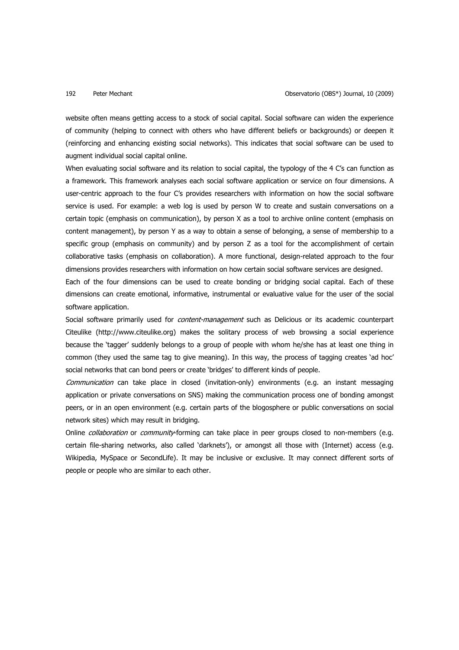website often means getting access to a stock of social capital. Social software can widen the experience of community (helping to connect with others who have different beliefs or backgrounds) or deepen it (reinforcing and enhancing existing social networks). This indicates that social software can be used to augment individual social capital online.

When evaluating social software and its relation to social capital, the typology of the 4 C's can function as a framework. This framework analyses each social software application or service on four dimensions. A user-centric approach to the four C's provides researchers with information on how the social software service is used. For example: a web log is used by person W to create and sustain conversations on a certain topic (emphasis on communication), by person X as a tool to archive online content (emphasis on content management), by person Y as a way to obtain a sense of belonging, a sense of membership to a specific group (emphasis on community) and by person Z as a tool for the accomplishment of certain collaborative tasks (emphasis on collaboration). A more functional, design-related approach to the four dimensions provides researchers with information on how certain social software services are designed.

Each of the four dimensions can be used to create bonding or bridging social capital. Each of these dimensions can create emotional, informative, instrumental or evaluative value for the user of the social software application.

Social software primarily used for *content-management* such as Delicious or its academic counterpart Citeulike (http://www.citeulike.org) makes the solitary process of web browsing a social experience because the 'tagger' suddenly belongs to a group of people with whom he/she has at least one thing in common (they used the same tag to give meaning). In this way, the process of tagging creates 'ad hoc' social networks that can bond peers or create 'bridges' to different kinds of people.

Communication can take place in closed (invitation-only) environments (e.g. an instant messaging application or private conversations on SNS) making the communication process one of bonding amongst peers, or in an open environment (e.g. certain parts of the blogosphere or public conversations on social network sites) which may result in bridging.

Online *collaboration* or *community*-forming can take place in peer groups closed to non-members (e.g. certain file-sharing networks, also called 'darknets'), or amongst all those with (Internet) access (e.g. Wikipedia, MySpace or SecondLife). It may be inclusive or exclusive. It may connect different sorts of people or people who are similar to each other.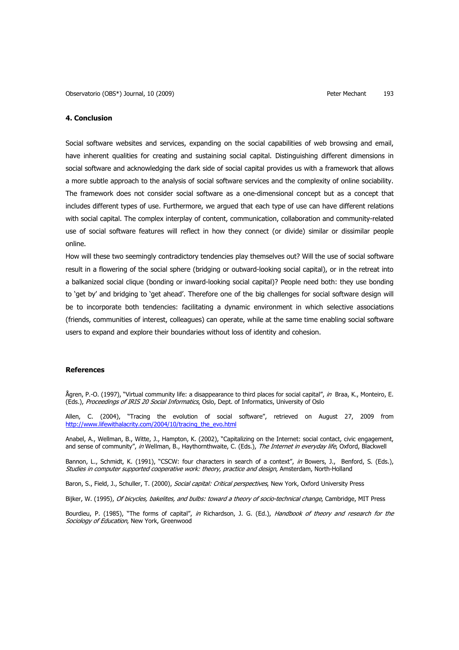# **4. Conclusion**

Social software websites and services, expanding on the social capabilities of web browsing and email, have inherent qualities for creating and sustaining social capital. Distinguishing different dimensions in social software and acknowledging the dark side of social capital provides us with a framework that allows a more subtle approach to the analysis of social software services and the complexity of online sociability. The framework does not consider social software as a one-dimensional concept but as a concept that includes different types of use. Furthermore, we argued that each type of use can have different relations with social capital. The complex interplay of content, communication, collaboration and community-related use of social software features will reflect in how they connect (or divide) similar or dissimilar people online.

How will these two seemingly contradictory tendencies play themselves out? Will the use of social software result in a flowering of the social sphere (bridging or outward-looking social capital), or in the retreat into a balkanized social clique (bonding or inward-looking social capital)? People need both: they use bonding to 'get by' and bridging to 'get ahead'. Therefore one of the big challenges for social software design will be to incorporate both tendencies: facilitating a dynamic environment in which selective associations (friends, communities of interest, colleagues) can operate, while at the same time enabling social software users to expand and explore their boundaries without loss of identity and cohesion.

### **References**

Ågren, P.-O. (1997), "Virtual community life: a disappearance to third places for social capital", in Braa, K., Monteiro, E. (Eds.), Proceedings of IRIS 20 Social Informatics, Oslo, Dept. of Informatics, University of Oslo

Allen, C. (2004), "Tracing the evolution of social software", retrieved on August 27, 2009 from http://www.lifewithalacrity.com/2004/10/tracing\_the\_evo.html

Anabel, A., Wellman, B., Witte, J., Hampton, K. (2002), "Capitalizing on the Internet: social contact, civic engagement, and sense of community", in Wellman, B., Haythornthwaite, C. (Eds.), The Internet in everyday life, Oxford, Blackwell

Bannon, L., Schmidt, K. (1991), "CSCW: four characters in search of a context", in Bowers, J., Benford, S. (Eds.), Studies in computer supported cooperative work: theory, practice and design, Amsterdam, North-Holland

Baron, S., Field, J., Schuller, T. (2000), Social capital: Critical perspectives, New York, Oxford University Press

Bijker, W. (1995), Of bicycles, bakelites, and bulbs: toward a theory of socio-technical change, Cambridge, MIT Press

Bourdieu, P. (1985), "The forms of capital", in Richardson, J. G. (Ed.), Handbook of theory and research for the Sociology of Education, New York, Greenwood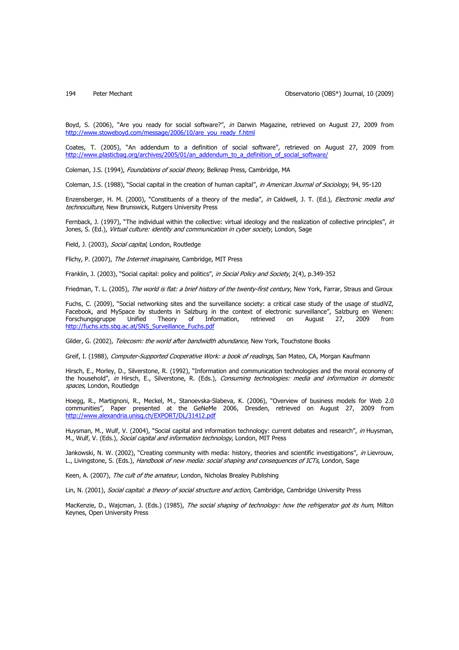Boyd, S. (2006), "Are you ready for social software?", in Darwin Magazine, retrieved on August 27, 2009 from http://www.stoweboyd.com/message/2006/10/are\_you\_ready\_f.html

Coates, T. (2005), "An addendum to a definition of social software", retrieved on August 27, 2009 from http://www.plasticbag.org/archives/2005/01/an\_addendum\_to\_a\_definition\_of\_social\_software/

Coleman, J.S. (1994), Foundations of social theory, Belknap Press, Cambridge, MA

Coleman, J.S. (1988), "Social capital in the creation of human capital", in American Journal of Sociology, 94, 95-120

Enzensberger, H. M. (2000), "Constituents of a theory of the media", in Caldwell, J. T. (Ed.), Electronic media and technoculture, New Brunswick, Rutgers University Press

Fernback, J. (1997), "The individual within the collective: virtual ideology and the realization of collective principles", in Jones, S. (Ed.), Virtual culture: identity and communication in cyber society, London, Sage

Field, J. (2003), Social capital, London, Routledge

Flichy, P. (2007), The Internet imaginaire, Cambridge, MIT Press

Franklin, J. (2003), "Social capital: policy and politics", in Social Policy and Society, 2(4), p.349-352

Friedman, T. L. (2005), The world is flat: a brief history of the twenty-first century, New York, Farrar, Straus and Giroux

Fuchs, C. (2009), "Social networking sites and the surveillance society: a critical case study of the usage of studiVZ, Facebook, and MySpace by students in Salzburg in the context of electronic surveillance", Salzburg en Wenen:<br>Forschungsgruppe Unified Theory of Information, retrieved on August 27, 2009 from Forschungsgruppe Unified Theory of Information, retrieved on August 27, 2009 from http://fuchs.icts.sbg.ac.at/SNS\_Surveillance\_Fuchs.pdf

Gilder, G. (2002), Telecosm: the world after bandwidth abundance, New York, Touchstone Books

Greif, I. (1988), Computer-Supported Cooperative Work: a book of readings, San Mateo, CA, Morgan Kaufmann

Hirsch, E., Morley, D., Silverstone, R. (1992), "Information and communication technologies and the moral economy of the household", in Hirsch, E., Silverstone, R. (Eds.), Consuming technologies: media and information in domestic spaces, London, Routledge

Hoegg, R., Martignoni, R., Meckel, M., Stanoevska-Slabeva, K. (2006), "Overview of business models for Web 2.0 communities", Paper presented at the GeNeMe 2006, Dresden, retrieved on August 27, 2009 from http://www.alexandria.unisg.ch/EXPORT/DL/31412.pdf

Huysman, M., Wulf, V. (2004), "Social capital and information technology: current debates and research", in Huysman, M., Wulf, V. (Eds.), Social capital and information technology, London, MIT Press

Jankowski, N. W. (2002), "Creating community with media: history, theories and scientific investigations", in Lievrouw, L., Livingstone, S. (Eds.), Handbook of new media: social shaping and consequences of ICTs, London, Sage

Keen, A. (2007), The cult of the amateur, London, Nicholas Brealey Publishing

Lin, N. (2001), Social capital: a theory of social structure and action, Cambridge, Cambridge University Press

MacKenzie, D., Wajcman, J. (Eds.) (1985), The social shaping of technology: how the refrigerator got its hum, Milton Keynes, Open University Press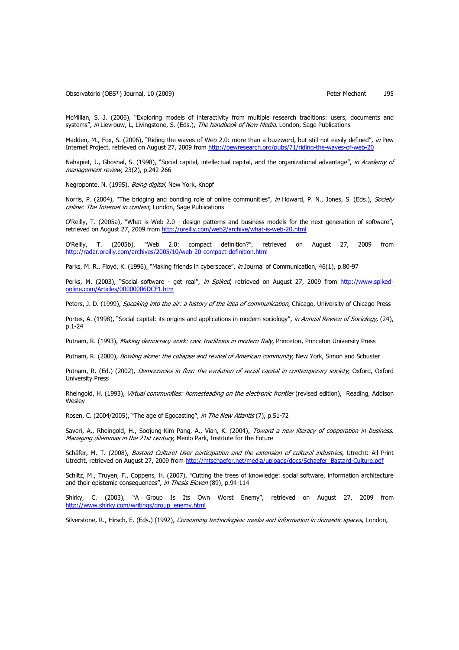Observatorio (OBS\*) Journal, 10 (2009) Peter Mechant 195

McMillan, S. J. (2006), "Exploring models of interactivity from multiple research traditions: users, documents and systems", in Lievrouw, L, Livingstone, S. (Eds.), The handbook of New Media, London, Sage Publications

Madden, M., Fox, S. (2006), "Riding the waves of Web 2.0: more than a buzzword, but still not easily defined", in Pew Internet Project, retrieved on August 27, 2009 from http://pewresearch.org/pubs/71/riding-the-waves-of-web-20

Nahapiet, J., Ghoshal, S. (1998), "Social capital, intellectual capital, and the organizational advantage", in Academy of management review, 23(2), p.242-266

Negroponte, N. (1995), Being digital, New York, Knopf

Norris, P. (2004), "The bridging and bonding role of online communities", in Howard, P. N., Jones, S. (Eds.), Society online: The Internet in context, London, Sage Publications

O'Reilly, T. (2005a), "What is Web 2.0 - design patterns and business models for the next generation of software", retrieved on August 27, 2009 from http://oreilly.com/web2/archive/what-is-web-20.html

O'Reilly, T. (2005b), "Web 2.0: compact definition?", retrieved on August 27, 2009 from http://radar.oreilly.com/archives/2005/10/web-20-compact-definition.html

Parks, M. R., Floyd, K. (1996), "Making friends in cyberspace", in Journal of Communication, 46(1), p.80-97

Perks, M. (2003), "Social software - get real", *in Spiked*, retrieved on August 27, 2009 from http://www.spikedonline.com/Articles/00000006DCF1.htm

Peters, J. D. (1999), Speaking into the air: a history of the idea of communication, Chicago, University of Chicago Press

Portes, A. (1998), "Social capital: its origins and applications in modern sociology", in Annual Review of Sociology, (24), p.1-24

Putnam, R. (1993), Making democracy work: civic traditions in modern Italy, Princeton, Princeton University Press

Putnam, R. (2000), Bowling alone: the collapse and revival of American community, New York, Simon and Schuster

Putnam, R. (Ed.) (2002), Democracies in flux: the evolution of social capital in contemporary society, Oxford, Oxford University Press

Rheingold, H. (1993), Virtual communities: homesteading on the electronic frontier (revised edition), Reading, Addison **Wesley** 

Rosen, C. (2004/2005), "The age of Egocasting", in The New Atlantis (7), p.51-72

Saveri, A., Rheingold, H., Soojung-Kim Pang, A., Vian, K. (2004), Toward a new literacy of cooperation in business. Managing dilemmas in the 21st century, Menlo Park, Institute for the Future

Schäfer, M. T. (2008), Bastard Culture! User participation and the extension of cultural industries, Utrecht: All Print Utrecht, retrieved on August 27, 2009 from http://mtschaefer.net/media/uploads/docs/Schaefer\_Bastard-Culture.pdf

Schiltz, M., Truyen, F., Coppens, H. (2007), "Cutting the trees of knowledge: social software, information architecture and their epistemic consequences", in Thesis Eleven (89), p.94-114

Shirky, C. (2003), "A Group Is Its Own Worst Enemy", retrieved on August 27, 2009 from http://www.shirky.com/writings/group\_enemy.html

Silverstone, R., Hirsch, E. (Eds.) (1992), Consuming technologies: media and information in domestic spaces, London,